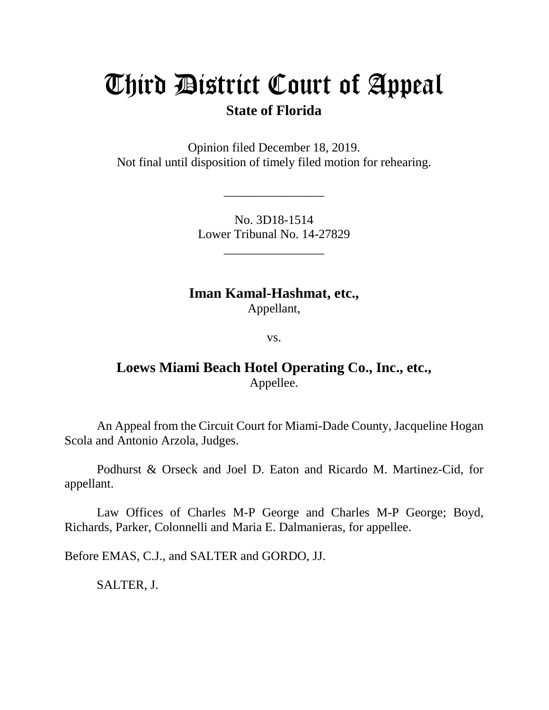# Third District Court of Appeal

## **State of Florida**

Opinion filed December 18, 2019. Not final until disposition of timely filed motion for rehearing.

> No. 3D18-1514 Lower Tribunal No. 14-27829

> > \_\_\_\_\_\_\_\_\_\_\_\_\_\_\_\_

\_\_\_\_\_\_\_\_\_\_\_\_\_\_\_\_

**Iman Kamal-Hashmat, etc.,** Appellant,

vs.

## **Loews Miami Beach Hotel Operating Co., Inc., etc.,** Appellee.

An Appeal from the Circuit Court for Miami-Dade County, Jacqueline Hogan Scola and Antonio Arzola, Judges.

Podhurst & Orseck and Joel D. Eaton and Ricardo M. Martinez-Cid, for appellant.

Law Offices of Charles M-P George and Charles M-P George; Boyd, Richards, Parker, Colonnelli and Maria E. Dalmanieras, for appellee.

Before EMAS, C.J., and SALTER and GORDO, JJ.

SALTER, J.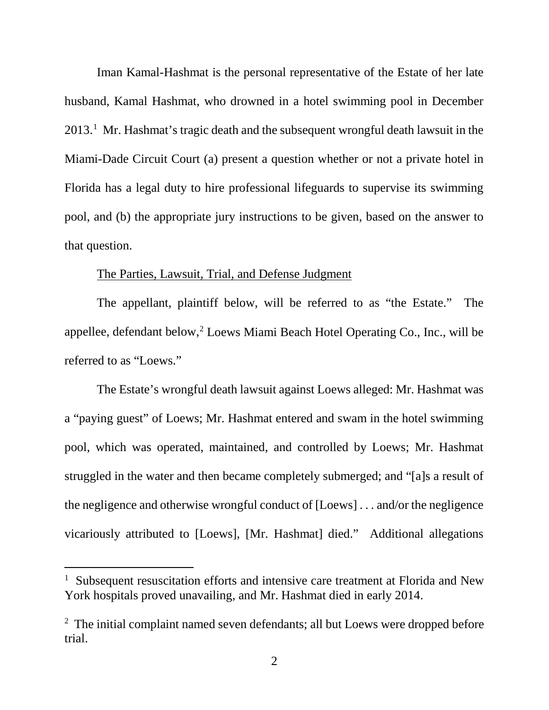Iman Kamal-Hashmat is the personal representative of the Estate of her late husband, Kamal Hashmat, who drowned in a hotel swimming pool in December  $2013<sup>1</sup>$  $2013<sup>1</sup>$  $2013<sup>1</sup>$  Mr. Hashmat's tragic death and the subsequent wrongful death lawsuit in the Miami-Dade Circuit Court (a) present a question whether or not a private hotel in Florida has a legal duty to hire professional lifeguards to supervise its swimming pool, and (b) the appropriate jury instructions to be given, based on the answer to that question.

### The Parties, Lawsuit, Trial, and Defense Judgment

The appellant, plaintiff below, will be referred to as "the Estate." The appellee, defendant below,<sup>[2](#page-1-1)</sup> Loews Miami Beach Hotel Operating Co., Inc., will be referred to as "Loews."

The Estate's wrongful death lawsuit against Loews alleged: Mr. Hashmat was a "paying guest" of Loews; Mr. Hashmat entered and swam in the hotel swimming pool, which was operated, maintained, and controlled by Loews; Mr. Hashmat struggled in the water and then became completely submerged; and "[a]s a result of the negligence and otherwise wrongful conduct of [Loews] . . . and/or the negligence vicariously attributed to [Loews], [Mr. Hashmat] died." Additional allegations

ī

<span id="page-1-0"></span><sup>1</sup> Subsequent resuscitation efforts and intensive care treatment at Florida and New York hospitals proved unavailing, and Mr. Hashmat died in early 2014.

<span id="page-1-1"></span><sup>&</sup>lt;sup>2</sup> The initial complaint named seven defendants; all but Loews were dropped before trial.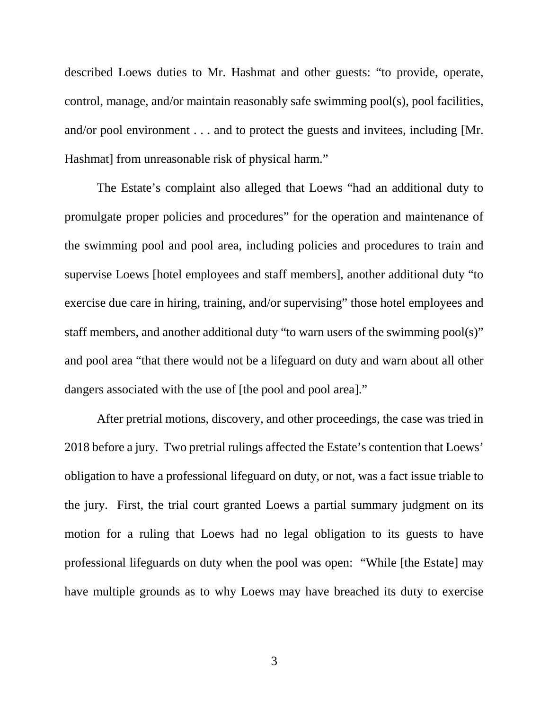described Loews duties to Mr. Hashmat and other guests: "to provide, operate, control, manage, and/or maintain reasonably safe swimming pool(s), pool facilities, and/or pool environment . . . and to protect the guests and invitees, including [Mr. Hashmat] from unreasonable risk of physical harm."

The Estate's complaint also alleged that Loews "had an additional duty to promulgate proper policies and procedures" for the operation and maintenance of the swimming pool and pool area, including policies and procedures to train and supervise Loews [hotel employees and staff members], another additional duty "to exercise due care in hiring, training, and/or supervising" those hotel employees and staff members, and another additional duty "to warn users of the swimming pool(s)" and pool area "that there would not be a lifeguard on duty and warn about all other dangers associated with the use of [the pool and pool area]."

After pretrial motions, discovery, and other proceedings, the case was tried in 2018 before a jury. Two pretrial rulings affected the Estate's contention that Loews' obligation to have a professional lifeguard on duty, or not, was a fact issue triable to the jury. First, the trial court granted Loews a partial summary judgment on its motion for a ruling that Loews had no legal obligation to its guests to have professional lifeguards on duty when the pool was open: "While [the Estate] may have multiple grounds as to why Loews may have breached its duty to exercise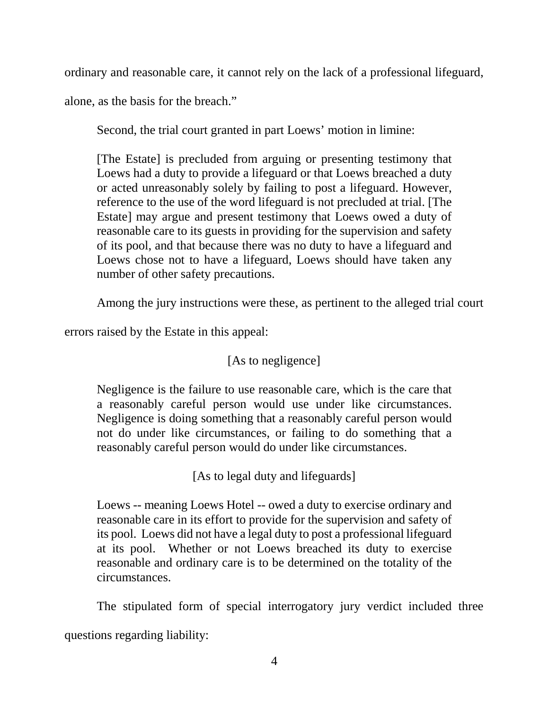ordinary and reasonable care, it cannot rely on the lack of a professional lifeguard,

alone, as the basis for the breach."

Second, the trial court granted in part Loews' motion in limine:

[The Estate] is precluded from arguing or presenting testimony that Loews had a duty to provide a lifeguard or that Loews breached a duty or acted unreasonably solely by failing to post a lifeguard. However, reference to the use of the word lifeguard is not precluded at trial. [The Estate] may argue and present testimony that Loews owed a duty of reasonable care to its guests in providing for the supervision and safety of its pool, and that because there was no duty to have a lifeguard and Loews chose not to have a lifeguard, Loews should have taken any number of other safety precautions.

Among the jury instructions were these, as pertinent to the alleged trial court

errors raised by the Estate in this appeal:

## [As to negligence]

Negligence is the failure to use reasonable care, which is the care that a reasonably careful person would use under like circumstances. Negligence is doing something that a reasonably careful person would not do under like circumstances, or failing to do something that a reasonably careful person would do under like circumstances.

[As to legal duty and lifeguards]

Loews -- meaning Loews Hotel -- owed a duty to exercise ordinary and reasonable care in its effort to provide for the supervision and safety of its pool. Loews did not have a legal duty to post a professional lifeguard at its pool. Whether or not Loews breached its duty to exercise reasonable and ordinary care is to be determined on the totality of the circumstances.

The stipulated form of special interrogatory jury verdict included three questions regarding liability: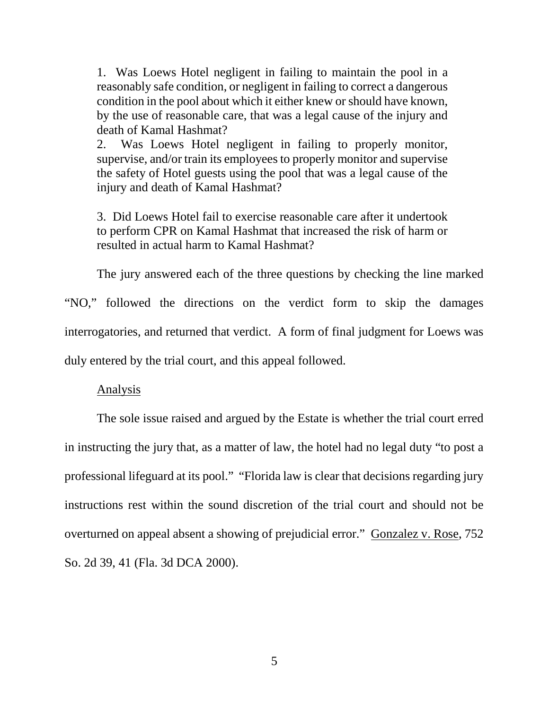1. Was Loews Hotel negligent in failing to maintain the pool in a reasonably safe condition, or negligent in failing to correct a dangerous condition in the pool about which it either knew or should have known, by the use of reasonable care, that was a legal cause of the injury and death of Kamal Hashmat?

2. Was Loews Hotel negligent in failing to properly monitor, supervise, and/or train its employees to properly monitor and supervise the safety of Hotel guests using the pool that was a legal cause of the injury and death of Kamal Hashmat?

3. Did Loews Hotel fail to exercise reasonable care after it undertook to perform CPR on Kamal Hashmat that increased the risk of harm or resulted in actual harm to Kamal Hashmat?

The jury answered each of the three questions by checking the line marked "NO," followed the directions on the verdict form to skip the damages interrogatories, and returned that verdict. A form of final judgment for Loews was duly entered by the trial court, and this appeal followed.

#### Analysis

The sole issue raised and argued by the Estate is whether the trial court erred in instructing the jury that, as a matter of law, the hotel had no legal duty "to post a professional lifeguard at its pool." "Florida law is clear that decisions regarding jury instructions rest within the sound discretion of the trial court and should not be overturned on appeal absent a showing of prejudicial error." Gonzalez v. Rose, 752 So. 2d 39, 41 (Fla. 3d DCA 2000).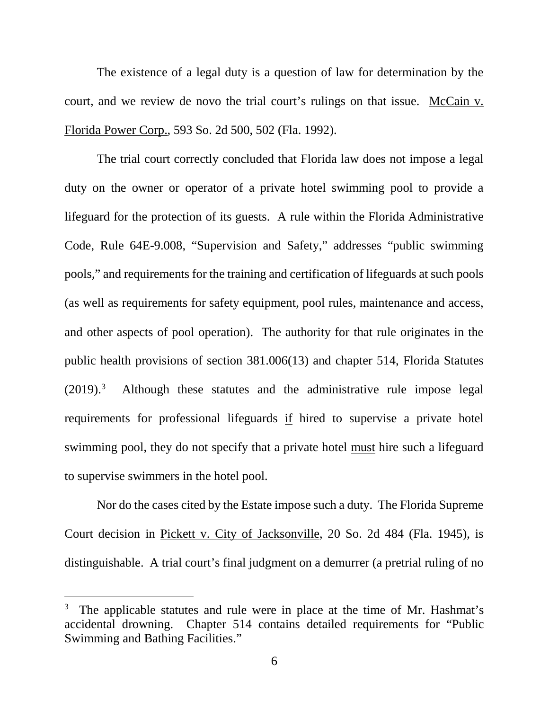The existence of a legal duty is a question of law for determination by the court, and we review de novo the trial court's rulings on that issue. McCain v. Florida Power Corp., 593 So. 2d 500, 502 (Fla. 1992).

The trial court correctly concluded that Florida law does not impose a legal duty on the owner or operator of a private hotel swimming pool to provide a lifeguard for the protection of its guests. A rule within the Florida Administrative Code, Rule 64E-9.008, "Supervision and Safety," addresses "public swimming pools," and requirements for the training and certification of lifeguards at such pools (as well as requirements for safety equipment, pool rules, maintenance and access, and other aspects of pool operation). The authority for that rule originates in the public health provisions of section 381.006(13) and chapter 514, Florida Statutes  $(2019).<sup>3</sup>$  $(2019).<sup>3</sup>$  $(2019).<sup>3</sup>$  Although these statutes and the administrative rule impose legal requirements for professional lifeguards if hired to supervise a private hotel swimming pool, they do not specify that a private hotel <u>must</u> hire such a lifeguard to supervise swimmers in the hotel pool.

Nor do the cases cited by the Estate impose such a duty. The Florida Supreme Court decision in Pickett v. City of Jacksonville, 20 So. 2d 484 (Fla. 1945), is distinguishable. A trial court's final judgment on a demurrer (a pretrial ruling of no

ī

<span id="page-5-0"></span><sup>3</sup> The applicable statutes and rule were in place at the time of Mr. Hashmat's accidental drowning. Chapter 514 contains detailed requirements for "Public Swimming and Bathing Facilities."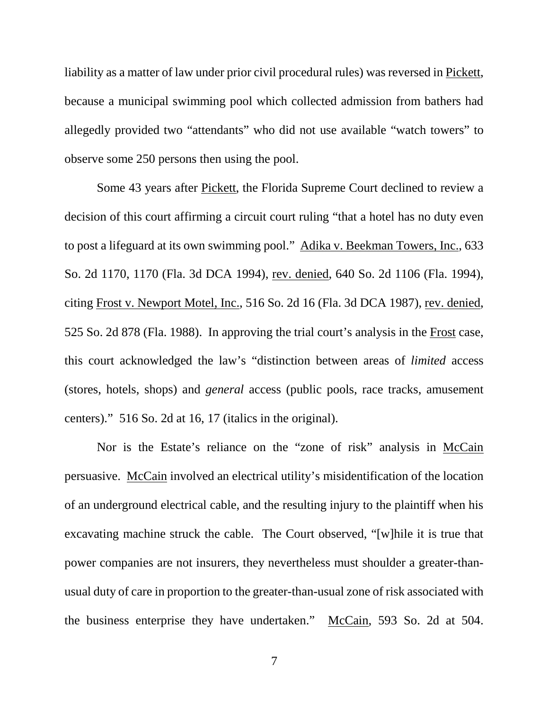liability as a matter of law under prior civil procedural rules) was reversed in Pickett, because a municipal swimming pool which collected admission from bathers had allegedly provided two "attendants" who did not use available "watch towers" to observe some 250 persons then using the pool.

Some 43 years after Pickett, the Florida Supreme Court declined to review a decision of this court affirming a circuit court ruling "that a hotel has no duty even to post a lifeguard at its own swimming pool." Adika v. Beekman Towers, Inc., 633 So. 2d 1170, 1170 (Fla. 3d DCA 1994), rev. denied, 640 So. 2d 1106 (Fla. 1994), citing Frost v. Newport Motel, Inc., 516 So. 2d 16 (Fla. 3d DCA 1987), rev. denied, 525 So. 2d 878 (Fla. 1988). In approving the trial court's analysis in the Frost case, this court acknowledged the law's "distinction between areas of *limited* access (stores, hotels, shops) and *general* access (public pools, race tracks, amusement centers)." 516 So. 2d at 16, 17 (italics in the original).

Nor is the Estate's reliance on the "zone of risk" analysis in McCain persuasive. McCain involved an electrical utility's misidentification of the location of an underground electrical cable, and the resulting injury to the plaintiff when his excavating machine struck the cable. The Court observed, "[w]hile it is true that power companies are not insurers, they nevertheless must shoulder a greater-thanusual duty of care in proportion to the greater-than-usual zone of risk associated with the business enterprise they have undertaken." McCain, 593 So. 2d at 504.